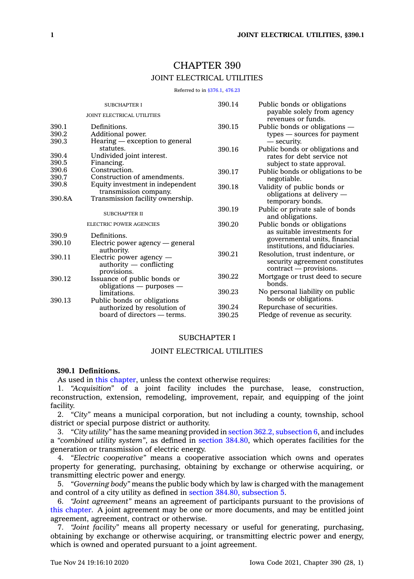# CHAPTER 390 JOINT ELECTRICAL UTILITIES

Referred to in [§376.1](https://www.legis.iowa.gov/docs/code/376.1.pdf), [476.23](https://www.legis.iowa.gov/docs/code/476.23.pdf)

| <b>SUBCHAPTER I</b><br><b>JOINT ELECTRICAL UTILITIES</b> |                                   | 390.14 | Public bonds or obligations<br>payable solely from agency |
|----------------------------------------------------------|-----------------------------------|--------|-----------------------------------------------------------|
|                                                          |                                   |        | revenues or funds.                                        |
| 390.1                                                    | Definitions.                      | 390.15 | Public bonds or obligations —                             |
| 390.2                                                    | Additional power.                 |        | types — sources for payment                               |
| 390.3                                                    | Hearing — exception to general    |        | — security.                                               |
|                                                          | statutes.                         | 390.16 | Public bonds or obligations and                           |
| 390.4                                                    | Undivided joint interest.         |        | rates for debt service not<br>subject to state approval.  |
| 390.5                                                    | Financing.                        |        |                                                           |
| 390.6                                                    | Construction.                     | 390.17 | Public bonds or obligations to be                         |
| 390.7                                                    | Construction of amendments.       |        | negotiable.                                               |
| 390.8                                                    | Equity investment in independent  | 390.18 | Validity of public bonds or                               |
|                                                          | transmission company.             |        | obligations at delivery -                                 |
| 390.8A                                                   | Transmission facility ownership.  |        | temporary bonds.                                          |
|                                                          |                                   | 390.19 | Public or private sale of bonds                           |
|                                                          | <b>SUBCHAPTER II</b>              |        | and obligations.                                          |
| <b>ELECTRIC POWER AGENCIES</b>                           |                                   | 390.20 | Public bonds or obligations                               |
|                                                          |                                   |        | as suitable investments for                               |
| 390.9                                                    | Definitions.                      |        | governmental units, financial                             |
| 390.10                                                   | Electric power agency $-$ general |        | institutions, and fiduciaries.                            |
|                                                          | authority.                        | 390.21 | Resolution, trust indenture, or                           |
| 390.11                                                   | Electric power agency —           |        | security agreement constitutes                            |
|                                                          | $a$ uthority $-$ conflicting      |        | contract — provisions.                                    |
|                                                          | provisions.                       | 390.22 | Mortgage or trust deed to secure                          |
| 390.12                                                   | Issuance of public bonds or       |        | bonds.                                                    |
|                                                          | obligations $-$ purposes $-$      |        |                                                           |
|                                                          | limitations.                      | 390.23 | No personal liability on public                           |
| 390.13                                                   | Public bonds or obligations       |        | bonds or obligations.                                     |
|                                                          | authorized by resolution of       | 390.24 | Repurchase of securities.                                 |
|                                                          | board of directors — terms.       | 390.25 | Pledge of revenue as security.                            |
|                                                          |                                   |        |                                                           |

#### SUBCHAPTER I

# JOINT ELECTRICAL UTILITIES

# **390.1 Definitions.**

As used in this [chapter](https://www.legis.iowa.gov/docs/code//390.pdf), unless the context otherwise requires:

1. *"Acquisition"* of <sup>a</sup> joint facility includes the purchase, lease, construction, reconstruction, extension, remodeling, improvement, repair, and equipping of the joint facility.

2. *"City"* means <sup>a</sup> municipal corporation, but not including <sup>a</sup> county, township, school district or special purpose district or authority.

3. *"City utility"* has the same meaning provided in section 362.2, [subsection](https://www.legis.iowa.gov/docs/code/362.2.pdf) 6, and includes <sup>a</sup> *"combined utility system"*, as defined in section [384.80](https://www.legis.iowa.gov/docs/code/384.80.pdf), which operates facilities for the generation or transmission of electric energy.

4. *"Electric cooperative"* means <sup>a</sup> cooperative association which owns and operates property for generating, purchasing, obtaining by exchange or otherwise acquiring, or transmitting electric power and energy.

5. *"Governing body"* means the public body which by law is charged with the management and control of <sup>a</sup> city utility as defined in section 384.80, [subsection](https://www.legis.iowa.gov/docs/code/384.80.pdf) 5.

6. *"Joint agreement"* means an agreement of participants pursuant to the provisions of this [chapter](https://www.legis.iowa.gov/docs/code//390.pdf). A joint agreement may be one or more documents, and may be entitled joint agreement, agreement, contract or otherwise.

7. *"Joint facility"* means all property necessary or useful for generating, purchasing, obtaining by exchange or otherwise acquiring, or transmitting electric power and energy, which is owned and operated pursuant to <sup>a</sup> joint agreement.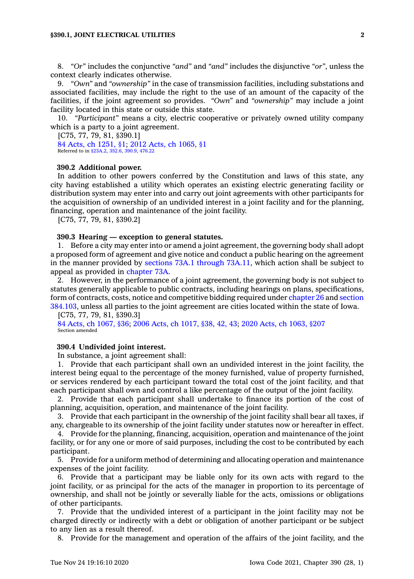8. *"Or"* includes the conjunctive *"and"* and *"and"* includes the disjunctive *"or"*, unless the context clearly indicates otherwise.

9. *"Own"* and *"ownership"* in the case of transmission facilities, including substations and associated facilities, may include the right to the use of an amount of the capacity of the facilities, if the joint agreement so provides. *"Own"* and *"ownership"* may include <sup>a</sup> joint facility located in this state or outside this state.

10. *"Participant"* means <sup>a</sup> city, electric cooperative or privately owned utility company which is <sup>a</sup> party to <sup>a</sup> joint agreement.

[C75, 77, 79, 81, §390.1] 84 Acts, ch [1251,](https://www.legis.iowa.gov/docs/acts/1984/CH1251.pdf) §1; 2012 Acts, ch [1065,](https://www.legis.iowa.gov/docs/acts/2012/CH1065.pdf) §1 Referred to in [§23A.2](https://www.legis.iowa.gov/docs/code/23A.2.pdf), [352.6](https://www.legis.iowa.gov/docs/code/352.6.pdf), [390.9](https://www.legis.iowa.gov/docs/code/390.9.pdf), [476.22](https://www.legis.iowa.gov/docs/code/476.22.pdf)

#### **390.2 Additional power.**

In addition to other powers conferred by the Constitution and laws of this state, any city having established <sup>a</sup> utility which operates an existing electric generating facility or distribution system may enter into and carry out joint agreements with other participants for the acquisition of ownership of an undivided interest in <sup>a</sup> joint facility and for the planning, financing, operation and maintenance of the joint facility.

[C75, 77, 79, 81, §390.2]

#### **390.3 Hearing — exception to general statutes.**

1. Before <sup>a</sup> city may enter into or amend <sup>a</sup> joint agreement, the governing body shall adopt <sup>a</sup> proposed form of agreement and give notice and conduct <sup>a</sup> public hearing on the agreement in the manner provided by sections 73A.1 [through](https://www.legis.iowa.gov/docs/code/73A.1.pdf) 73A.11, which action shall be subject to appeal as provided in [chapter](https://www.legis.iowa.gov/docs/code//73A.pdf) 73A.

2. However, in the performance of <sup>a</sup> joint agreement, the governing body is not subject to statutes generally applicable to public contracts, including hearings on plans, specifications, form of contracts, costs, notice and competitive bidding required under [chapter](https://www.legis.iowa.gov/docs/code//26.pdf) 26 and [section](https://www.legis.iowa.gov/docs/code/384.103.pdf) [384.103](https://www.legis.iowa.gov/docs/code/384.103.pdf), unless all parties to the joint agreement are cities located within the state of Iowa.

#### [C75, 77, 79, 81, §390.3]

84 Acts, ch [1067,](https://www.legis.iowa.gov/docs/acts/1984/CH1067.pdf) §36; 2006 Acts, ch [1017,](https://www.legis.iowa.gov/docs/acts/2006/CH1017.pdf) §38, 42, 43; 2020 Acts, ch [1063,](https://www.legis.iowa.gov/docs/acts/2020/CH1063.pdf) §207 Section amended

#### **390.4 Undivided joint interest.**

In substance, <sup>a</sup> joint agreement shall:

1. Provide that each participant shall own an undivided interest in the joint facility, the interest being equal to the percentage of the money furnished, value of property furnished, or services rendered by each participant toward the total cost of the joint facility, and that each participant shall own and control <sup>a</sup> like percentage of the output of the joint facility.

2. Provide that each participant shall undertake to finance its portion of the cost of planning, acquisition, operation, and maintenance of the joint facility.

3. Provide that each participant in the ownership of the joint facility shall bear all taxes, if any, chargeable to its ownership of the joint facility under statutes now or hereafter in effect.

4. Provide for the planning, financing, acquisition, operation and maintenance of the joint facility, or for any one or more of said purposes, including the cost to be contributed by each participant.

5. Provide for <sup>a</sup> uniform method of determining and allocating operation and maintenance expenses of the joint facility.

6. Provide that <sup>a</sup> participant may be liable only for its own acts with regard to the joint facility, or as principal for the acts of the manager in proportion to its percentage of ownership, and shall not be jointly or severally liable for the acts, omissions or obligations of other participants.

7. Provide that the undivided interest of <sup>a</sup> participant in the joint facility may not be charged directly or indirectly with <sup>a</sup> debt or obligation of another participant or be subject to any lien as <sup>a</sup> result thereof.

8. Provide for the management and operation of the affairs of the joint facility, and the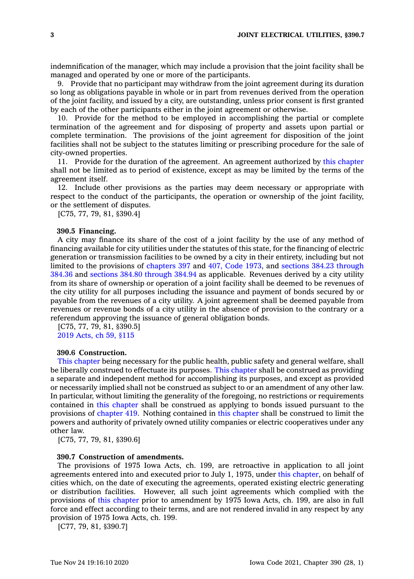indemnification of the manager, which may include <sup>a</sup> provision that the joint facility shall be managed and operated by one or more of the participants.

9. Provide that no participant may withdraw from the joint agreement during its duration so long as obligations payable in whole or in part from revenues derived from the operation of the joint facility, and issued by <sup>a</sup> city, are outstanding, unless prior consent is first granted by each of the other participants either in the joint agreement or otherwise.

10. Provide for the method to be employed in accomplishing the partial or complete termination of the agreement and for disposing of property and assets upon partial or complete termination. The provisions of the joint agreement for disposition of the joint facilities shall not be subject to the statutes limiting or prescribing procedure for the sale of city-owned properties.

11. Provide for the duration of the agreement. An agreement authorized by this [chapter](https://www.legis.iowa.gov/docs/code//390.pdf) shall not be limited as to period of existence, except as may be limited by the terms of the agreement itself.

12. Include other provisions as the parties may deem necessary or appropriate with respect to the conduct of the participants, the operation or ownership of the joint facility, or the settlement of disputes.

[C75, 77, 79, 81, §390.4]

#### **390.5 Financing.**

A city may finance its share of the cost of <sup>a</sup> joint facility by the use of any method of financing available for city utilities under the statutes of this state, for the financing of electric generation or transmission facilities to be owned by <sup>a</sup> city in their entirety, including but not limited to the provisions of [chapters](https://www.legis.iowa.gov/docs/code/1973/397.pdf) 397 and 407, Code [1973](https://www.legis.iowa.gov/docs/code/1973/407.pdf), and sections 384.23 [through](https://www.legis.iowa.gov/docs/code/384.23.pdf) [384.36](https://www.legis.iowa.gov/docs/code/384.23.pdf) and sections 384.80 [through](https://www.legis.iowa.gov/docs/code/384.80.pdf) 384.94 as applicable. Revenues derived by <sup>a</sup> city utility from its share of ownership or operation of <sup>a</sup> joint facility shall be deemed to be revenues of the city utility for all purposes including the issuance and payment of bonds secured by or payable from the revenues of <sup>a</sup> city utility. A joint agreement shall be deemed payable from revenues or revenue bonds of <sup>a</sup> city utility in the absence of provision to the contrary or <sup>a</sup> referendum approving the issuance of general obligation bonds.

[C75, 77, 79, 81, §390.5] 2019 [Acts,](https://www.legis.iowa.gov/docs/acts/2019/CH0059.pdf) ch 59, §115

#### **390.6 Construction.**

This [chapter](https://www.legis.iowa.gov/docs/code//390.pdf) being necessary for the public health, public safety and general welfare, shall be liberally construed to effectuate its purposes. This [chapter](https://www.legis.iowa.gov/docs/code//390.pdf) shall be construed as providing <sup>a</sup> separate and independent method for accomplishing its purposes, and except as provided or necessarily implied shall not be construed as subject to or an amendment of any other law. In particular, without limiting the generality of the foregoing, no restrictions or requirements contained in this [chapter](https://www.legis.iowa.gov/docs/code//390.pdf) shall be construed as applying to bonds issued pursuant to the provisions of [chapter](https://www.legis.iowa.gov/docs/code//419.pdf) 419. Nothing contained in this [chapter](https://www.legis.iowa.gov/docs/code//390.pdf) shall be construed to limit the powers and authority of privately owned utility companies or electric cooperatives under any other law.

[C75, 77, 79, 81, §390.6]

### **390.7 Construction of amendments.**

The provisions of 1975 Iowa Acts, ch. 199, are retroactive in application to all joint agreements entered into and executed prior to July 1, 1975, under this [chapter](https://www.legis.iowa.gov/docs/code//390.pdf), on behalf of cities which, on the date of executing the agreements, operated existing electric generating or distribution facilities. However, all such joint agreements which complied with the provisions of this [chapter](https://www.legis.iowa.gov/docs/code//390.pdf) prior to amendment by 1975 Iowa Acts, ch. 199, are also in full force and effect according to their terms, and are not rendered invalid in any respect by any provision of 1975 Iowa Acts, ch. 199.

[C77, 79, 81, §390.7]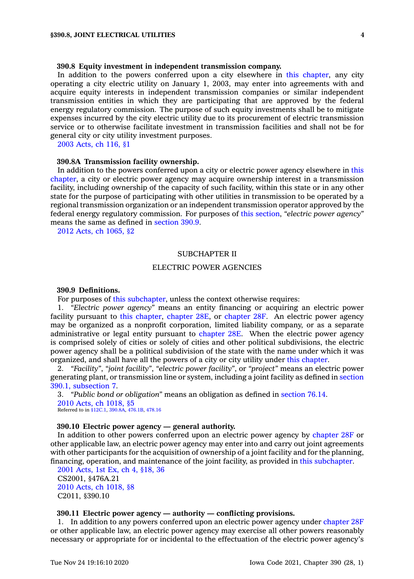# **390.8 Equity investment in independent transmission company.**

In addition to the powers conferred upon <sup>a</sup> city elsewhere in this [chapter](https://www.legis.iowa.gov/docs/code//390.pdf), any city operating <sup>a</sup> city electric utility on January 1, 2003, may enter into agreements with and acquire equity interests in independent transmission companies or similar independent transmission entities in which they are participating that are approved by the federal energy regulatory commission. The purpose of such equity investments shall be to mitigate expenses incurred by the city electric utility due to its procurement of electric transmission service or to otherwise facilitate investment in transmission facilities and shall not be for general city or city utility investment purposes.

2003 [Acts,](https://www.legis.iowa.gov/docs/acts/2003/CH0116.pdf) ch 116, §1

#### **390.8A Transmission facility ownership.**

In addition to the powers conferred upon <sup>a</sup> city or electric power agency elsewhere in [this](https://www.legis.iowa.gov/docs/code//390.pdf) [chapter](https://www.legis.iowa.gov/docs/code//390.pdf), <sup>a</sup> city or electric power agency may acquire ownership interest in <sup>a</sup> transmission facility, including ownership of the capacity of such facility, within this state or in any other state for the purpose of participating with other utilities in transmission to be operated by <sup>a</sup> regional transmission organization or an independent transmission operator approved by the federal energy regulatory commission. For purposes of this [section](https://www.legis.iowa.gov/docs/code/390.8A.pdf), *"electric power agency"* means the same as defined in [section](https://www.legis.iowa.gov/docs/code/390.9.pdf) 390.9.

2012 Acts, ch [1065,](https://www.legis.iowa.gov/docs/acts/2012/CH1065.pdf) §2

#### SUBCHAPTER II

#### ELECTRIC POWER AGENCIES

# **390.9 Definitions.**

For purposes of this [subchapter](https://www.legis.iowa.gov/docs/code//390.pdf), unless the context otherwise requires:

1. *"Electric power agency"* means an entity financing or acquiring an electric power facility pursuant to this [chapter](https://www.legis.iowa.gov/docs/code//390.pdf), [chapter](https://www.legis.iowa.gov/docs/code//28E.pdf) 28E, or [chapter](https://www.legis.iowa.gov/docs/code//28F.pdf) 28F. An electric power agency may be organized as <sup>a</sup> nonprofit corporation, limited liability company, or as <sup>a</sup> separate administrative or legal entity pursuant to [chapter](https://www.legis.iowa.gov/docs/code//28E.pdf) 28E. When the electric power agency is comprised solely of cities or solely of cities and other political subdivisions, the electric power agency shall be <sup>a</sup> political subdivision of the state with the name under which it was organized, and shall have all the powers of <sup>a</sup> city or city utility under this [chapter](https://www.legis.iowa.gov/docs/code//390.pdf).

2. *"Facility"*, *"joint facility"*, *"electric power facility"*, or *"project"* means an electric power generating plant, or transmission line or system, including <sup>a</sup> joint facility as defined in [section](https://www.legis.iowa.gov/docs/code/390.1.pdf) 390.1, [subsection](https://www.legis.iowa.gov/docs/code/390.1.pdf) 7.

3. *"Public bond or obligation"* means an obligation as defined in [section](https://www.legis.iowa.gov/docs/code/76.14.pdf) 76.14. 2010 Acts, ch [1018,](https://www.legis.iowa.gov/docs/acts/2010/CH1018.pdf) §5 Referred to in [§12C.1](https://www.legis.iowa.gov/docs/code/12C.1.pdf), [390.8A](https://www.legis.iowa.gov/docs/code/390.8A.pdf), [476.1B](https://www.legis.iowa.gov/docs/code/476.1B.pdf), [478.16](https://www.legis.iowa.gov/docs/code/478.16.pdf)

# **390.10 Electric power agency — general authority.**

In addition to other powers conferred upon an electric power agency by [chapter](https://www.legis.iowa.gov/docs/code//28F.pdf) 28F or other applicable law, an electric power agency may enter into and carry out joint agreements with other participants for the acquisition of ownership of <sup>a</sup> joint facility and for the planning, financing, operation, and maintenance of the joint facility, as provided in this [subchapter](https://www.legis.iowa.gov/docs/code//390.pdf).

2001 [Acts,](https://www.legis.iowa.gov/docs/acts/2001/CH0004.pdf) 1st Ex, ch 4, §18, 36 CS2001, §476A.21 2010 Acts, ch [1018,](https://www.legis.iowa.gov/docs/acts/2010/CH1018.pdf) §8 C2011, §390.10

# **390.11 Electric power agency — authority — conflicting provisions.**

1. In addition to any powers conferred upon an electric power agency under [chapter](https://www.legis.iowa.gov/docs/code//28F.pdf) 28F or other applicable law, an electric power agency may exercise all other powers reasonably necessary or appropriate for or incidental to the effectuation of the electric power agency's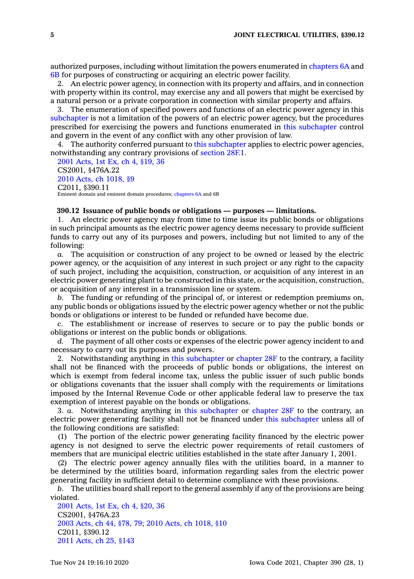authorized purposes, including without limitation the powers enumerated in [chapters](https://www.legis.iowa.gov/docs/code//6A.pdf) 6A and [6B](https://www.legis.iowa.gov/docs/code//6B.pdf) for purposes of constructing or acquiring an electric power facility.

2. An electric power agency, in connection with its property and affairs, and in connection with property within its control, may exercise any and all powers that might be exercised by <sup>a</sup> natural person or <sup>a</sup> private corporation in connection with similar property and affairs.

3. The enumeration of specified powers and functions of an electric power agency in this [subchapter](https://www.legis.iowa.gov/docs/code//390.pdf) is not <sup>a</sup> limitation of the powers of an electric power agency, but the procedures prescribed for exercising the powers and functions enumerated in this [subchapter](https://www.legis.iowa.gov/docs/code//390.pdf) control and govern in the event of any conflict with any other provision of law.

4. The authority conferred pursuant to this [subchapter](https://www.legis.iowa.gov/docs/code//390.pdf) applies to electric power agencies, notwithstanding any contrary provisions of [section](https://www.legis.iowa.gov/docs/code/28F.1.pdf) 28F.1.

2001 [Acts,](https://www.legis.iowa.gov/docs/acts/2001/CH0004.pdf) 1st Ex, ch 4, §19, 36 CS2001, §476A.22 2010 Acts, ch [1018,](https://www.legis.iowa.gov/docs/acts/2010/CH1018.pdf) §9 C2011, §390.11 Eminent domain and eminent domain procedures; [chapters](https://www.legis.iowa.gov/docs/code//6A.pdf) 6A and 6B

### **390.12 Issuance of public bonds or obligations — purposes — limitations.**

1. An electric power agency may from time to time issue its public bonds or obligations in such principal amounts as the electric power agency deems necessary to provide sufficient funds to carry out any of its purposes and powers, including but not limited to any of the following:

*a.* The acquisition or construction of any project to be owned or leased by the electric power agency, or the acquisition of any interest in such project or any right to the capacity of such project, including the acquisition, construction, or acquisition of any interest in an electric power generating plant to be constructed in this state, or the acquisition, construction, or acquisition of any interest in <sup>a</sup> transmission line or system.

*b.* The funding or refunding of the principal of, or interest or redemption premiums on, any public bonds or obligations issued by the electric power agency whether or not the public bonds or obligations or interest to be funded or refunded have become due.

*c.* The establishment or increase of reserves to secure or to pay the public bonds or obligations or interest on the public bonds or obligations.

*d.* The payment of all other costs or expenses of the electric power agency incident to and necessary to carry out its purposes and powers.

2. Notwithstanding anything in this [subchapter](https://www.legis.iowa.gov/docs/code//390.pdf) or [chapter](https://www.legis.iowa.gov/docs/code//28F.pdf) 28F to the contrary, <sup>a</sup> facility shall not be financed with the proceeds of public bonds or obligations, the interest on which is exempt from federal income tax, unless the public issuer of such public bonds or obligations covenants that the issuer shall comply with the requirements or limitations imposed by the Internal Revenue Code or other applicable federal law to preserve the tax exemption of interest payable on the bonds or obligations.

3. *a.* Notwithstanding anything in this [subchapter](https://www.legis.iowa.gov/docs/code//390.pdf) or [chapter](https://www.legis.iowa.gov/docs/code//28F.pdf) 28F to the contrary, an electric power generating facility shall not be financed under this [subchapter](https://www.legis.iowa.gov/docs/code//390.pdf) unless all of the following conditions are satisfied:

(1) The portion of the electric power generating facility financed by the electric power agency is not designed to serve the electric power requirements of retail customers of members that are municipal electric utilities established in the state after January 1, 2001.

(2) The electric power agency annually files with the utilities board, in <sup>a</sup> manner to be determined by the utilities board, information regarding sales from the electric power generating facility in sufficient detail to determine compliance with these provisions.

*b.* The utilities board shall report to the general assembly if any of the provisions are being violated.

2001 [Acts,](https://www.legis.iowa.gov/docs/acts//CH0000.pdf) 1st Ex, ch 4, §20, 36 CS2001, §476A.23 2003 [Acts,](https://www.legis.iowa.gov/docs/acts/2003/CH0044.pdf) ch 44, §78, 79; 2010 Acts, ch [1018,](https://www.legis.iowa.gov/docs/acts/2010/CH1018.pdf) §10 C2011, §390.12 2011 [Acts,](https://www.legis.iowa.gov/docs/acts/2011/CH0025.pdf) ch 25, §143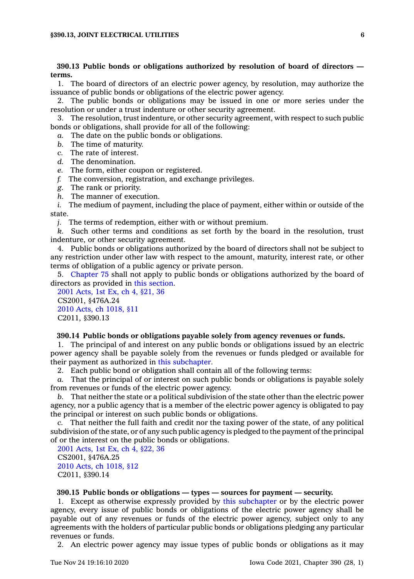# **390.13 Public bonds or obligations authorized by resolution of board of directors terms.**

1. The board of directors of an electric power agency, by resolution, may authorize the issuance of public bonds or obligations of the electric power agency.

2. The public bonds or obligations may be issued in one or more series under the resolution or under <sup>a</sup> trust indenture or other security agreement.

3. The resolution, trust indenture, or other security agreement, with respect to such public bonds or obligations, shall provide for all of the following:

*a.* The date on the public bonds or obligations.

- *b.* The time of maturity.
- *c.* The rate of interest.
- *d.* The denomination.
- *e.* The form, either coupon or registered.
- *f.* The conversion, registration, and exchange privileges.
- *g.* The rank or priority.
- *h.* The manner of execution.

*i.* The medium of payment, including the place of payment, either within or outside of the state.

*j.* The terms of redemption, either with or without premium.

*k.* Such other terms and conditions as set forth by the board in the resolution, trust indenture, or other security agreement.

4. Public bonds or obligations authorized by the board of directors shall not be subject to any restriction under other law with respect to the amount, maturity, interest rate, or other terms of obligation of <sup>a</sup> public agency or private person.

5. [Chapter](https://www.legis.iowa.gov/docs/code//75.pdf) 75 shall not apply to public bonds or obligations authorized by the board of directors as provided in this [section](https://www.legis.iowa.gov/docs/code/390.13.pdf).

2001 [Acts,](https://www.legis.iowa.gov/docs/acts//CH0000.pdf) 1st Ex, ch 4, §21, 36 CS2001, §476A.24 2010 Acts, ch [1018,](https://www.legis.iowa.gov/docs/acts/2010/CH1018.pdf) §11 C2011, §390.13

### **390.14 Public bonds or obligations payable solely from agency revenues or funds.**

1. The principal of and interest on any public bonds or obligations issued by an electric power agency shall be payable solely from the revenues or funds pledged or available for their payment as authorized in this [subchapter](https://www.legis.iowa.gov/docs/code//390.pdf).

2. Each public bond or obligation shall contain all of the following terms:

*a.* That the principal of or interest on such public bonds or obligations is payable solely from revenues or funds of the electric power agency.

*b.* That neither the state or <sup>a</sup> political subdivision of the state other than the electric power agency, nor <sup>a</sup> public agency that is <sup>a</sup> member of the electric power agency is obligated to pay the principal or interest on such public bonds or obligations.

*c.* That neither the full faith and credit nor the taxing power of the state, of any political subdivision of the state, or of any such public agency is pledged to the payment of the principal of or the interest on the public bonds or obligations.

2001 [Acts,](https://www.legis.iowa.gov/docs/acts/2001/CH0004.pdf) 1st Ex, ch 4, §22, 36 CS2001, §476A.25 2010 Acts, ch [1018,](https://www.legis.iowa.gov/docs/acts/2010/CH1018.pdf) §12 C2011, §390.14

# **390.15 Public bonds or obligations — types — sources for payment — security.**

1. Except as otherwise expressly provided by this [subchapter](https://www.legis.iowa.gov/docs/code//390.pdf) or by the electric power agency, every issue of public bonds or obligations of the electric power agency shall be payable out of any revenues or funds of the electric power agency, subject only to any agreements with the holders of particular public bonds or obligations pledging any particular revenues or funds.

2. An electric power agency may issue types of public bonds or obligations as it may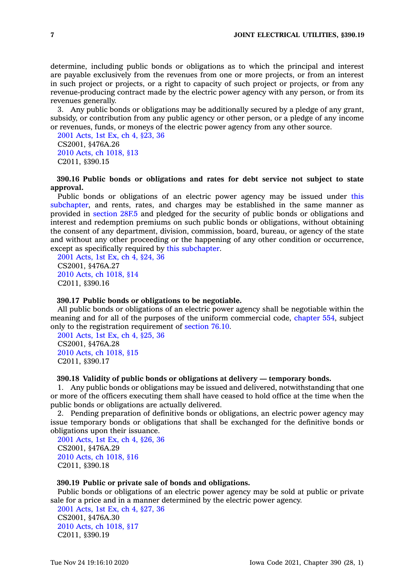determine, including public bonds or obligations as to which the principal and interest are payable exclusively from the revenues from one or more projects, or from an interest in such project or projects, or <sup>a</sup> right to capacity of such project or projects, or from any revenue-producing contract made by the electric power agency with any person, or from its revenues generally.

3. Any public bonds or obligations may be additionally secured by <sup>a</sup> pledge of any grant, subsidy, or contribution from any public agency or other person, or <sup>a</sup> pledge of any income or revenues, funds, or moneys of the electric power agency from any other source.

2001 [Acts,](https://www.legis.iowa.gov/docs/acts/2001/CH0004.pdf) 1st Ex, ch 4, §23, 36 CS2001, §476A.26 2010 Acts, ch [1018,](https://www.legis.iowa.gov/docs/acts/2010/CH1018.pdf) §13 C2011, §390.15

# **390.16 Public bonds or obligations and rates for debt service not subject to state approval.**

Public bonds or obligations of an electric power agency may be issued under [this](https://www.legis.iowa.gov/docs/code//390.pdf) [subchapter](https://www.legis.iowa.gov/docs/code//390.pdf), and rents, rates, and charges may be established in the same manner as provided in [section](https://www.legis.iowa.gov/docs/code/28F.5.pdf) 28F.5 and pledged for the security of public bonds or obligations and interest and redemption premiums on such public bonds or obligations, without obtaining the consent of any department, division, commission, board, bureau, or agency of the state and without any other proceeding or the happening of any other condition or occurrence, except as specifically required by this [subchapter](https://www.legis.iowa.gov/docs/code//390.pdf).

2001 [Acts,](https://www.legis.iowa.gov/docs/acts/2001/CH0004.pdf) 1st Ex, ch 4, §24, 36 CS2001, §476A.27 2010 Acts, ch [1018,](https://www.legis.iowa.gov/docs/acts/2010/CH1018.pdf) §14 C2011, §390.16

#### **390.17 Public bonds or obligations to be negotiable.**

All public bonds or obligations of an electric power agency shall be negotiable within the meaning and for all of the purposes of the uniform commercial code, [chapter](https://www.legis.iowa.gov/docs/code//554.pdf) 554, subject only to the registration requirement of [section](https://www.legis.iowa.gov/docs/code/76.10.pdf) 76.10.

2001 [Acts,](https://www.legis.iowa.gov/docs/acts/2001/CH0004.pdf) 1st Ex, ch 4, §25, 36 CS2001, §476A.28 2010 Acts, ch [1018,](https://www.legis.iowa.gov/docs/acts/2010/CH1018.pdf) §15 C2011, §390.17

# **390.18 Validity of public bonds or obligations at delivery — temporary bonds.**

1. Any public bonds or obligations may be issued and delivered, notwithstanding that one or more of the officers executing them shall have ceased to hold office at the time when the public bonds or obligations are actually delivered.

2. Pending preparation of definitive bonds or obligations, an electric power agency may issue temporary bonds or obligations that shall be exchanged for the definitive bonds or obligations upon their issuance.

2001 [Acts,](https://www.legis.iowa.gov/docs/acts/2001/CH0004.pdf) 1st Ex, ch 4, §26, 36 CS2001, §476A.29 2010 Acts, ch [1018,](https://www.legis.iowa.gov/docs/acts/2010/CH1018.pdf) §16 C2011, §390.18

### **390.19 Public or private sale of bonds and obligations.**

Public bonds or obligations of an electric power agency may be sold at public or private sale for <sup>a</sup> price and in <sup>a</sup> manner determined by the electric power agency.

2001 [Acts,](https://www.legis.iowa.gov/docs/acts//CH0000.pdf) 1st Ex, ch 4, §27, 36 CS2001, §476A.30 2010 Acts, ch [1018,](https://www.legis.iowa.gov/docs/acts/2010/CH1018.pdf) §17 C2011, §390.19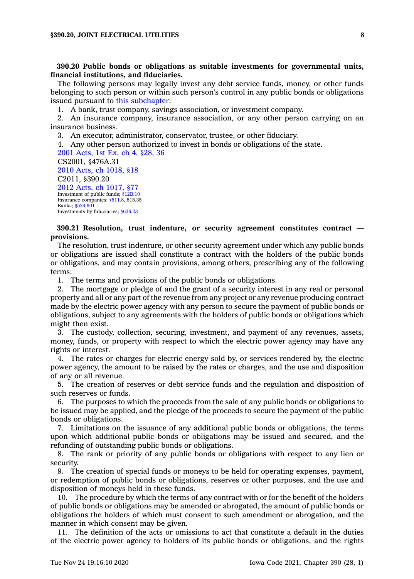**390.20 Public bonds or obligations as suitable investments for governmental units, financial institutions, and fiduciaries.**

The following persons may legally invest any debt service funds, money, or other funds belonging to such person or within such person's control in any public bonds or obligations issued pursuant to this [subchapter](https://www.legis.iowa.gov/docs/code//390.pdf):

1. A bank, trust company, savings association, or investment company.

2. An insurance company, insurance association, or any other person carrying on an insurance business.

3. An executor, administrator, conservator, trustee, or other fiduciary.

4. Any other person authorized to invest in bonds or obligations of the state.

2001 [Acts,](https://www.legis.iowa.gov/docs/acts/2001/CH0004.pdf) 1st Ex, ch 4, §28, 36 CS2001, §476A.31 2010 Acts, ch [1018,](https://www.legis.iowa.gov/docs/acts/2010/CH1018.pdf) §18 C2011, §390.20 2012 Acts, ch [1017,](https://www.legis.iowa.gov/docs/acts/2012/CH1017.pdf) §77 Investment of public funds; [§12B.10](https://www.legis.iowa.gov/docs/code/12B.10.pdf) Insurance companies; [§511.8](https://www.legis.iowa.gov/docs/code/511.8.pdf), 515.35 Banks; [§524.901](https://www.legis.iowa.gov/docs/code/524.901.pdf) Investments by fiduciaries; [§636.23](https://www.legis.iowa.gov/docs/code/636.23.pdf)

# **390.21 Resolution, trust indenture, or security agreement constitutes contract provisions.**

The resolution, trust indenture, or other security agreement under which any public bonds or obligations are issued shall constitute <sup>a</sup> contract with the holders of the public bonds or obligations, and may contain provisions, among others, prescribing any of the following terms:

1. The terms and provisions of the public bonds or obligations.

2. The mortgage or pledge of and the grant of <sup>a</sup> security interest in any real or personal property and all or any part of the revenue from any project or any revenue producing contract made by the electric power agency with any person to secure the payment of public bonds or obligations, subject to any agreements with the holders of public bonds or obligations which might then exist.

3. The custody, collection, securing, investment, and payment of any revenues, assets, money, funds, or property with respect to which the electric power agency may have any rights or interest.

4. The rates or charges for electric energy sold by, or services rendered by, the electric power agency, the amount to be raised by the rates or charges, and the use and disposition of any or all revenue.

5. The creation of reserves or debt service funds and the regulation and disposition of such reserves or funds.

6. The purposes to which the proceeds from the sale of any public bonds or obligations to be issued may be applied, and the pledge of the proceeds to secure the payment of the public bonds or obligations.

7. Limitations on the issuance of any additional public bonds or obligations, the terms upon which additional public bonds or obligations may be issued and secured, and the refunding of outstanding public bonds or obligations.

8. The rank or priority of any public bonds or obligations with respect to any lien or security.

9. The creation of special funds or moneys to be held for operating expenses, payment, or redemption of public bonds or obligations, reserves or other purposes, and the use and disposition of moneys held in these funds.

10. The procedure by which the terms of any contract with or for the benefit of the holders of public bonds or obligations may be amended or abrogated, the amount of public bonds or obligations the holders of which must consent to such amendment or abrogation, and the manner in which consent may be given.

11. The definition of the acts or omissions to act that constitute <sup>a</sup> default in the duties of the electric power agency to holders of its public bonds or obligations, and the rights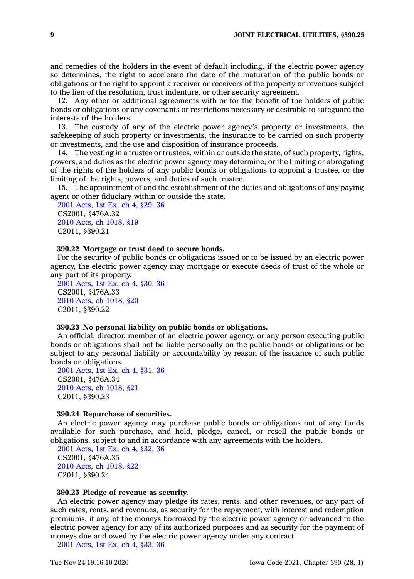and remedies of the holders in the event of default including, if the electric power agency so determines, the right to accelerate the date of the maturation of the public bonds or obligations or the right to appoint <sup>a</sup> receiver or receivers of the property or revenues subject to the lien of the resolution, trust indenture, or other security agreement.

12. Any other or additional agreements with or for the benefit of the holders of public bonds or obligations or any covenants or restrictions necessary or desirable to safeguard the interests of the holders.

13. The custody of any of the electric power agency's property or investments, the safekeeping of such property or investments, the insurance to be carried on such property or investments, and the use and disposition of insurance proceeds.

14. The vesting in <sup>a</sup> trustee or trustees, within or outside the state, of such property, rights, powers, and duties as the electric power agency may determine; or the limiting or abrogating of the rights of the holders of any public bonds or obligations to appoint <sup>a</sup> trustee, or the limiting of the rights, powers, and duties of such trustee.

15. The appointment of and the establishment of the duties and obligations of any paying agent or other fiduciary within or outside the state.

2001 [Acts,](https://www.legis.iowa.gov/docs/acts//CH0000.pdf) 1st Ex, ch 4, §29, 36 CS2001, §476A.32 2010 Acts, ch [1018,](https://www.legis.iowa.gov/docs/acts/2010/CH1018.pdf) §19 C2011, §390.21

### **390.22 Mortgage or trust deed to secure bonds.**

For the security of public bonds or obligations issued or to be issued by an electric power agency, the electric power agency may mortgage or execute deeds of trust of the whole or any part of its property.

2001 [Acts,](https://www.legis.iowa.gov/docs/acts//CH0000.pdf) 1st Ex, ch 4, §30, 36 CS2001, §476A.33 2010 Acts, ch [1018,](https://www.legis.iowa.gov/docs/acts/2010/CH1018.pdf) §20 C2011, §390.22

### **390.23 No personal liability on public bonds or obligations.**

An official, director, member of an electric power agency, or any person executing public bonds or obligations shall not be liable personally on the public bonds or obligations or be subject to any personal liability or accountability by reason of the issuance of such public bonds or obligations.

2001 [Acts,](https://www.legis.iowa.gov/docs/acts//CH0000.pdf) 1st Ex, ch 4, §31, 36 CS2001, §476A.34 2010 Acts, ch [1018,](https://www.legis.iowa.gov/docs/acts/2010/CH1018.pdf) §21 C2011, §390.23

### **390.24 Repurchase of securities.**

An electric power agency may purchase public bonds or obligations out of any funds available for such purchase, and hold, pledge, cancel, or resell the public bonds or obligations, subject to and in accordance with any agreements with the holders.

2001 [Acts,](https://www.legis.iowa.gov/docs/acts//CH0000.pdf) 1st Ex, ch 4, §32, 36 CS2001, §476A.35 2010 Acts, ch [1018,](https://www.legis.iowa.gov/docs/acts/2010/CH1018.pdf) §22 C2011, §390.24

# **390.25 Pledge of revenue as security.**

An electric power agency may pledge its rates, rents, and other revenues, or any part of such rates, rents, and revenues, as security for the repayment, with interest and redemption premiums, if any, of the moneys borrowed by the electric power agency or advanced to the electric power agency for any of its authorized purposes and as security for the payment of moneys due and owed by the electric power agency under any contract.

2001 [Acts,](https://www.legis.iowa.gov/docs/acts//CH0000.pdf) 1st Ex, ch 4, §33, 36